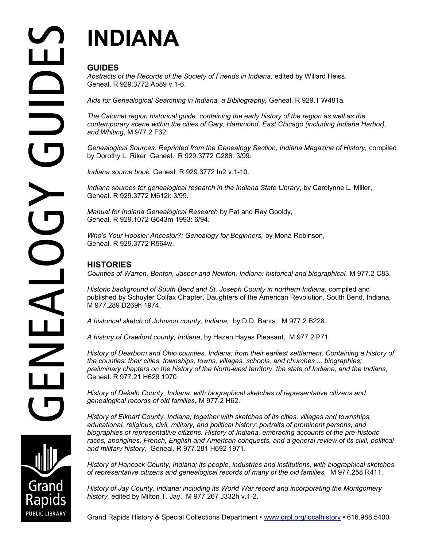# **INDIANA**

## **GUIDES**

*Abstracts of the Records of the Society of Friends in Indiana,* edited by Willard Heiss. Geneal. R 929.3772 Ab89 v.1-6.

*Aids for Genealogical Searching in Indiana, a Bibliography,* Geneal. R 929.1 W481a.

*The Calumet region historical guide: containing the early history of the region as well as the contemporary scene within the cities of Gary, Hammond, East Chicago (including Indiana Harbor), and Whiting*, M 977.2 F32.

Genealogical Sources: Reprinted from the Genealogy Section, Indiana Magazine of History, compiled by Dorothy L. Riker, Geneal. R 929.3772 G286: 3/99.

*Indiana source book,* Geneal. R 929.3772 In2 v.1-10.

*Indiana sources for genealogical research in the Indiana State Library*, by Carolynne L. Miller, Geneal. R 929.3772 M612i: 3/99.

*Manual for Indiana Genealogical Research* by Pat and Ray Gooldy, Geneal. R 929.1072 G643m 1993: 6/94.

*Who's Your Hoosier Ancestor?: Genealogy for Beginners,* by Mona Robinson, Geneal. R 929.3772 R564w.

### **HISTORIES**

*Counties of Warren, Benton, Jasper and Newton, Indiana: historical and biographical,* M 977.2 C83.

*Historic background of South Bend and St. Joseph County in northern Indiana,* compiled and published by Schuyler Colfax Chapter, Daughters of the American Revolution, South Bend, Indiana, M 977.289 D269h 1974.

*A historical sketch of Johnson county, Indiana,* by D.D. Banta, M 977.2 B228.

*A history of Crawford county, Indiana*, by Hazen Hayes Pleasant, M 977.2 P71.

*History of Dearborn and Ohio counties, Indiana; from their earliest settlement. Containing a history of the counties; their cities, townships, towns, villages, schools, and churches ... biographies; preliminary chapters on the history of the North-west territory, the state of Indiana, and the Indians,*  Geneal. R 977.21 H629 1970.

*History of Dekalb County, Indiana: with biographical sketches of representative citizens and genealogical records of old families,* M 977.2 H62.

*History of Elkhart County, Indiana; together with sketches of its cities, villages and townships, educational, religious, civil, military, and political history; portraits of prominent persons, and biographies of representative citizens. History of Indiana, embracing accounts of the pre-historic*  races, aborigines, French, English and American conquests, and a general review of its civil, political *and military history,* Geneal. R 977.281 H692 1971.

*History of Hancock County, Indiana; its people, industries and institutions, with biographical sketches of representative citizens and genealogical records of many of the old families,* M 977.258 R411.

*History of Jay County, Indiana: including its World War record and incorporating the Montgomery history,* edited by Milton T. Jay, M 977.267 J332h v.1-2.

Grand Rapids History & Special Collections Department • [www.grpl.org/localhistory](http://www.grpl.org/localhistory) • 616.988.5400

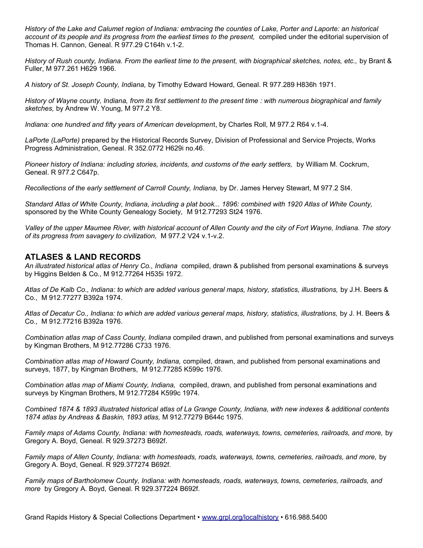*History of the Lake and Calumet region of Indiana: embracing the counties of Lake, Porter and Laporte: an historical account of its people and its progress from the earliest times to the present,* compiled under the editorial supervision of Thomas H. Cannon, Geneal. R 977.29 C164h v.1-2.

*History of Rush county, Indiana. From the earliest time to the present, with biographical sketches, notes, etc.,* by Brant & Fuller, M 977.261 H629 1966.

*A history of St. Joseph County, Indiana,* by Timothy Edward Howard, Geneal. R 977.289 H836h 1971.

*History of Wayne county, Indiana, from its first settlement to the present time : with numerous biographical and family sketches,* by Andrew W. Young, M 977.2 Y8.

*Indiana: one hundred and fifty years of American developmen*t, by Charles Roll, M 977.2 R64 v.1-4.

*LaPorte (LaPorte)* prepared by the Historical Records Survey, Division of Professional and Service Projects, Works Progress Administration, Geneal. R 352.0772 H629i no.46.

*Pioneer history of Indiana: including stories, incidents, and customs of the early settlers,* by William M. Cockrum, Geneal. R 977.2 C647p.

*Recollections of the early settlement of Carroll County, Indiana,* by Dr. James Hervey Stewart, M 977.2 St4.

*Standard Atlas of White County, Indiana, including a plat book... 1896: combined with 1920 Atlas of White County,*  sponsored by the White County Genealogy Society, M 912.77293 St24 1976.

*Valley of the upper Maumee River, with historical account of Allen County and the city of Fort Wayne, Indiana. The story of its progress from savagery to civilization,* M 977.2 V24 v.1-v.2.

#### **ATLASES & LAND RECORDS**

*An illustrated historical atlas of Henry Co., Indiana* compiled, drawn & published from personal examinations & surveys by Higgins Belden & Co., M 912.77264 H535i 1972.

*Atlas of De Kalb Co., Indiana: to which are added various general maps, history, statistics, illustrations,* by J.H. Beers & Co., M 912.77277 B392a 1974.

*Atlas of Decatur Co., Indiana: to which are added various general maps, history, statistics, illustrations,* by J. H. Beers & Co., M 912.77216 B392a 1976.

*Combination atlas map of Cass County, Indiana* compiled drawn, and published from personal examinations and surveys by Kingman Brothers, M 912.77286 C733 1976.

*Combination atlas map of Howard County, Indiana,* compiled, drawn, and published from personal examinations and surveys, 1877, by Kingman Brothers, M 912.77285 K599c 1976.

*Combination atlas map of Miami County, Indiana,* compiled, drawn, and published from personal examinations and surveys by Kingman Brothers, M 912.77284 K599c 1974.

*Combined 1874 & 1893 illustrated historical atlas of La Grange County, Indiana, with new indexes & additional contents 1874 atlas by Andreas & Baskin, 1893 atlas,* M 912.77279 B644c 1975.

*Family maps of Adams County, Indiana: with homesteads, roads, waterways, towns, cemeteries, railroads, and more,* by Gregory A. Boyd, Geneal. R 929.37273 B692f.

*Family maps of Allen County, Indiana: with homesteads, roads, waterways, towns, cemeteries, railroads, and more,* by Gregory A. Boyd, Geneal. R 929.377274 B692f.

*Family maps of Bartholomew County, Indiana: with homesteads, roads, waterways, towns, cemeteries, railroads, and more* by Gregory A. Boyd, Geneal. R 929.377224 B692f.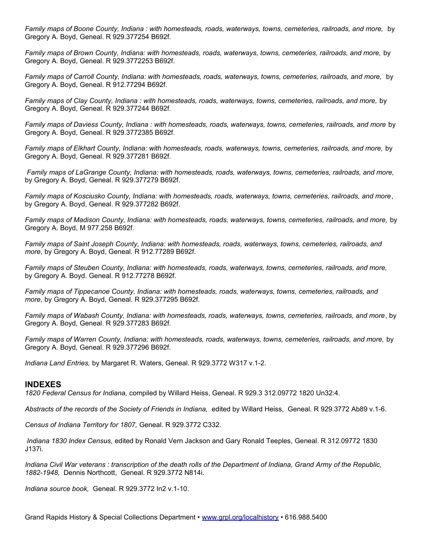*Family maps of Boone County, Indiana : with homesteads, roads, waterways, towns, cemeteries, railroads, and more,* by Gregory A. Boyd, Geneal. R 929.377254 B692f.

*Family maps of Brown County, Indiana: with homesteads, roads, waterways, towns, cemeteries, railroads, and more,* by Gregory A. Boyd, Geneal. R 929.3772253 B692f.

*Family maps of Carroll County, Indiana: with homesteads, roads, waterways, towns, cemeteries, railroads, and more,* by Gregory A. Boyd, Geneal. R 912.77294 B692f.

*Family maps of Clay County, Indiana : with homesteads, roads, waterways, towns, cemeteries, railroads, and more,* by Gregory A. Boyd, Geneal. R 929.377244 B692f.

*Family maps of Daviess County, Indiana : with homesteads, roads, waterways, towns, cemeteries, railroads, and more* by Gregory A. Boyd, Geneal. R 929.3772385 B692f.

*Family maps of Elkhart County, Indiana: with homesteads, roads, waterways, towns, cemeteries, railroads, and more,* by Gregory A. Boyd, Geneal. R 929.377281 B692f.

*Family maps of LaGrange County, Indiana: with homesteads, roads, waterways, towns, cemeteries, railroads, and more,*  by Gregory A. Boyd, Geneal. R 929.377279 B692f.

*Family maps of Kosciusko County, Indiana: with homesteads, roads, waterways, towns, cemeteries, railroads, and more*, by Gregory A. Boyd, Geneal. R 929.377282 B692f.

*Family maps of Madison County, Indiana: with homesteads, roads, waterways, towns, cemeteries, railroads, and more,* by Gregory A. Boyd, M 977.258 B692f.

*Family maps of Saint Joseph County, Indiana: with homesteads, roads, waterways, towns, cemeteries, railroads, and more,* by Gregory A. Boyd, Geneal. R 912.77289 B692f.

*Family maps of Steuben County, Indiana: with homesteads, roads, waterways, towns, cemeteries, railroads, and more,* by Gregory A. Boyd. Geneal. R 912.77278 B692f.

*Family maps of Tippecanoe County, Indiana: with homesteads, roads, waterways, towns, cemeteries, railroads, and more,* by Gregory A. Boyd, Geneal. R 929.377295 B692f.

*Family maps of Wabash County, Indiana: with homesteads, roads, waterways, towns, cemeteries, railroads, and more*, by Gregory A. Boyd, Geneal. R 929.377283 B692f.

*Family maps of Warren County, Indiana: with homesteads, roads, waterways, towns, cemeteries, railroads, and more,* by Gregory A. Boyd, Geneal. R 929.377296 B692f.

*Indiana Land Entries,* by Margaret R. Waters, Geneal. R 929.3772 W317 v.1-2.

#### **INDEXES**

*1820 Federal Census for Indiana,* compiled by Willard Heiss, Geneal. R 929.3 312.09772 1820 Un32:4.

*Abstracts of the records of the Society of Friends in Indiana,* edited by Willard Heiss, Geneal. R 929.3772 Ab89 v.1-6.

*Census of Indiana Territory for 1807,* Geneal. R 929.3772 C332.

*Indiana 1830 Index Census,* edited by Ronald Vern Jackson and Gary Ronald Teeples, Geneal. R 312.09772 1830 J137i.

*Indiana Civil War veterans : transcription of the death rolls of the Department of Indiana, Grand Army of the Republic, 1882-1948,* Dennis Northcott, Geneal. R 929.3772 N814i.

*Indiana source book,* Geneal. R 929.3772 In2 v.1-10.